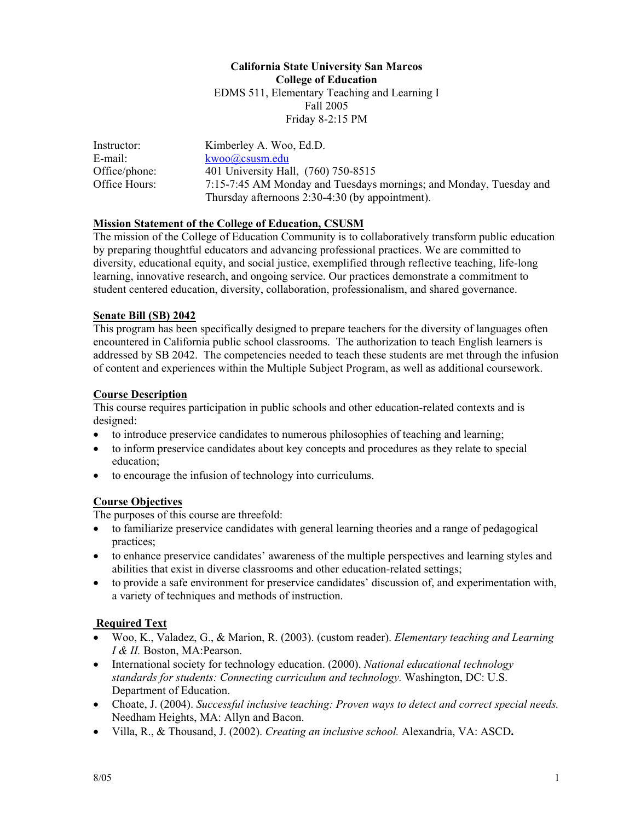#### **California State University San Marcos College of Education**  EDMS 511, Elementary Teaching and Learning I Fall 2005 Friday 8-2:15 PM

| Instructor:   | Kimberley A. Woo, Ed.D.                                            |
|---------------|--------------------------------------------------------------------|
| E-mail: I     | $kwoo(a)$ csusm.edu                                                |
| Office/phone: | 401 University Hall, (760) 750-8515                                |
| Office Hours: | 7:15-7:45 AM Monday and Tuesdays mornings; and Monday, Tuesday and |
|               | Thursday afternoons $2:30-4:30$ (by appointment).                  |

#### **Mission Statement of the College of Education, CSUSM**

The mission of the College of Education Community is to collaboratively transform public education by preparing thoughtful educators and advancing professional practices. We are committed to diversity, educational equity, and social justice, exemplified through reflective teaching, life-long learning, innovative research, and ongoing service. Our practices demonstrate a commitment to student centered education, diversity, collaboration, professionalism, and shared governance.

#### **Senate Bill (SB) 2042**

This program has been specifically designed to prepare teachers for the diversity of languages often encountered in California public school classrooms. The authorization to teach English learners is addressed by SB 2042. The competencies needed to teach these students are met through the infusion of content and experiences within the Multiple Subject Program, as well as additional coursework.

#### **Course Description**

This course requires participation in public schools and other education-related contexts and is designed:

- to introduce preservice candidates to numerous philosophies of teaching and learning;
- to inform preservice candidates about key concepts and procedures as they relate to special education;
- to encourage the infusion of technology into curriculums.

#### **Course Objectives**

The purposes of this course are threefold:

- to familiarize preservice candidates with general learning theories and a range of pedagogical practices;
- to enhance preservice candidates' awareness of the multiple perspectives and learning styles and abilities that exist in diverse classrooms and other education-related settings;
- to provide a safe environment for preservice candidates' discussion of, and experimentation with, a variety of techniques and methods of instruction.

#### **Required Text**

- Woo, K., Valadez, G., & Marion, R. (2003). (custom reader). *Elementary teaching and Learning I & II.* Boston, MA:Pearson.
- International society for technology education. (2000). *National educational technology standards for students: Connecting curriculum and technology.* Washington, DC: U.S. Department of Education.
- Choate, J. (2004). *Successful inclusive teaching: Proven ways to detect and correct special needs.* Needham Heights, MA: Allyn and Bacon.
- Villa, R., & Thousand, J. (2002). *Creating an inclusive school.* Alexandria, VA: ASCD**.**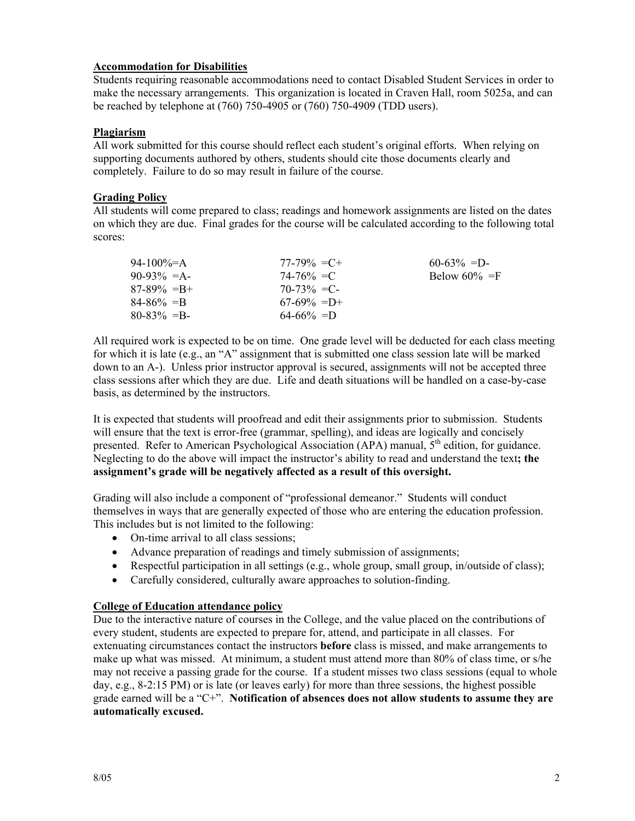#### **Accommodation for Disabilities**

Students requiring reasonable accommodations need to contact Disabled Student Services in order to make the necessary arrangements. This organization is located in Craven Hall, room 5025a, and can be reached by telephone at (760) 750-4905 or (760) 750-4909 (TDD users).

#### **Plagiarism**

All work submitted for this course should reflect each student's original efforts. When relying on supporting documents authored by others, students should cite those documents clearly and completely. Failure to do so may result in failure of the course.

#### **Grading Policy**

All students will come prepared to class; readings and homework assignments are listed on the dates on which they are due. Final grades for the course will be calculated according to the following total scores:

| 94-100\%=A      | $77-79\% = C +$ | $60-63\% = D$    |
|-----------------|-----------------|------------------|
| $90-93\% = A$   | $74 - 76\% = C$ | Below $60\% = F$ |
| $87-89\% = B +$ | $70-73\% = C$   |                  |
| $84 - 86\% = B$ | $67-69\% = D+$  |                  |
| $80 - 83\% = B$ | $64-66\% = D$   |                  |

All required work is expected to be on time. One grade level will be deducted for each class meeting for which it is late (e.g., an "A" assignment that is submitted one class session late will be marked down to an A-). Unless prior instructor approval is secured, assignments will not be accepted three class sessions after which they are due. Life and death situations will be handled on a case-by-case basis, as determined by the instructors.

It is expected that students will proofread and edit their assignments prior to submission. Students will ensure that the text is error-free (grammar, spelling), and ideas are logically and concisely presented. Refer to American Psychological Association (APA) manual,  $5<sup>th</sup>$  edition, for guidance. Neglecting to do the above will impact the instructor's ability to read and understand the text**; the assignment's grade will be negatively affected as a result of this oversight.** 

Grading will also include a component of "professional demeanor." Students will conduct themselves in ways that are generally expected of those who are entering the education profession. This includes but is not limited to the following:

- On-time arrival to all class sessions;
- Advance preparation of readings and timely submission of assignments;
- Respectful participation in all settings (e.g., whole group, small group, in/outside of class);
- Carefully considered, culturally aware approaches to solution-finding.

#### **College of Education attendance policy**

Due to the interactive nature of courses in the College, and the value placed on the contributions of every student, students are expected to prepare for, attend, and participate in all classes. For extenuating circumstances contact the instructors **before** class is missed, and make arrangements to make up what was missed. At minimum, a student must attend more than 80% of class time, or s/he may not receive a passing grade for the course. If a student misses two class sessions (equal to whole day, e.g., 8-2:15 PM) or is late (or leaves early) for more than three sessions, the highest possible grade earned will be a "C+". **Notification of absences does not allow students to assume they are automatically excused.**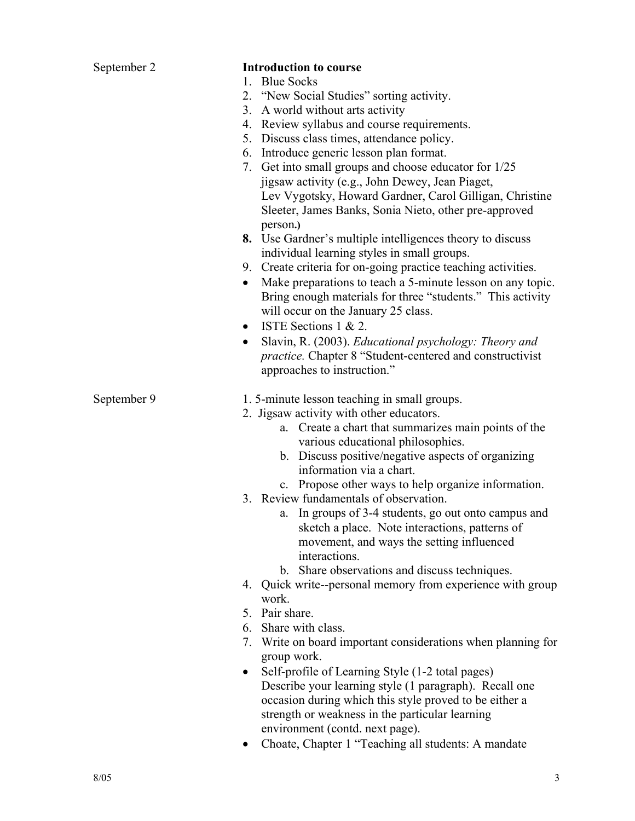| September 2 | <b>Introduction to course</b>                                                                                    |
|-------------|------------------------------------------------------------------------------------------------------------------|
|             | 1. Blue Socks                                                                                                    |
|             | 2. "New Social Studies" sorting activity.                                                                        |
|             | 3. A world without arts activity                                                                                 |
|             | 4. Review syllabus and course requirements.                                                                      |
|             | 5. Discuss class times, attendance policy.                                                                       |
|             | 6. Introduce generic lesson plan format.                                                                         |
|             | 7. Get into small groups and choose educator for 1/25                                                            |
|             | jigsaw activity (e.g., John Dewey, Jean Piaget,<br>Lev Vygotsky, Howard Gardner, Carol Gilligan, Christine       |
|             | Sleeter, James Banks, Sonia Nieto, other pre-approved                                                            |
|             | person.)                                                                                                         |
|             | 8. Use Gardner's multiple intelligences theory to discuss                                                        |
|             | individual learning styles in small groups.                                                                      |
|             | 9. Create criteria for on-going practice teaching activities.                                                    |
|             | Make preparations to teach a 5-minute lesson on any topic.<br>$\bullet$                                          |
|             | Bring enough materials for three "students." This activity                                                       |
|             | will occur on the January 25 class.                                                                              |
|             | ISTE Sections $1 \& 2$ .                                                                                         |
|             | Slavin, R. (2003). Educational psychology: Theory and<br>$\bullet$                                               |
|             | <i>practice.</i> Chapter 8 "Student-centered and constructivist                                                  |
|             | approaches to instruction."                                                                                      |
| September 9 | 1.5-minute lesson teaching in small groups.                                                                      |
|             | 2. Jigsaw activity with other educators.                                                                         |
|             | a. Create a chart that summarizes main points of the                                                             |
|             | various educational philosophies.                                                                                |
|             | b. Discuss positive/negative aspects of organizing                                                               |
|             | information via a chart.                                                                                         |
|             | c. Propose other ways to help organize information.                                                              |
|             | 3. Review fundamentals of observation.<br>a. In groups of 3-4 students, go out onto campus and                   |
|             | sketch a place. Note interactions, patterns of                                                                   |
|             | movement, and ways the setting influenced                                                                        |
|             | interactions.                                                                                                    |
|             | b. Share observations and discuss techniques.                                                                    |
|             | 4. Quick write--personal memory from experience with group                                                       |
|             | work.                                                                                                            |
|             | 5. Pair share.                                                                                                   |
|             | 6. Share with class.                                                                                             |
|             | Write on board important considerations when planning for<br>7.                                                  |
|             | group work.                                                                                                      |
|             | Self-profile of Learning Style (1-2 total pages)<br>$\bullet$                                                    |
|             | Describe your learning style (1 paragraph). Recall one<br>occasion during which this style proved to be either a |
|             | strength or weakness in the particular learning                                                                  |
|             | environment (contd. next page).                                                                                  |
|             | Choate, Chapter 1 "Teaching all students: A mandate<br>٠                                                         |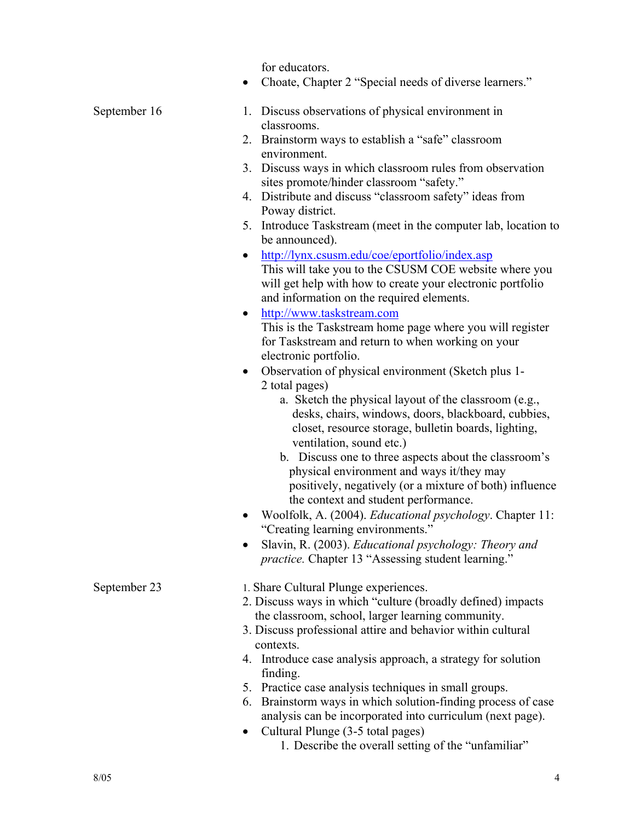for educators.

• Choate, Chapter 2 "Special needs of diverse learners."

| September 16 | 1. Discuss observations of physical environment in |
|--------------|----------------------------------------------------|
|              | classrooms.                                        |

- 2. Brainstorm ways to establish a "safe" classroom environment.
- 3. Discuss ways in which classroom rules from observation sites promote/hinder classroom "safety."
- 4. Distribute and discuss "classroom safety" ideas from Poway district.
- 5. Introduce Taskstream (meet in the computer lab, location to be announced).
- http://lynx.csusm.edu/coe/eportfolio/index.asp This will take you to the CSUSM COE website where you will get help with how to create your electronic portfolio and information on the required elements.
- http://www.taskstream.com This is the Taskstream home page where you will register for Taskstream and return to when working on your electronic portfolio.
- Observation of physical environment (Sketch plus 1- 2 total pages)
	- a. Sketch the physical layout of the classroom (e.g., desks, chairs, windows, doors, blackboard, cubbies, closet, resource storage, bulletin boards, lighting, ventilation, sound etc.)
	- b. Discuss one to three aspects about the classroom's physical environment and ways it/they may positively, negatively (or a mixture of both) influence the context and student performance.
- Woolfolk, A. (2004). *Educational psychology*. Chapter 11: "Creating learning environments."
- Slavin, R. (2003). *Educational psychology: Theory and practice.* Chapter 13 "Assessing student learning."
- 
- September 23 1. Share Cultural Plunge experiences.
	- 2. Discuss ways in which "culture (broadly defined) impacts the classroom, school, larger learning community.
	- 3. Discuss professional attire and behavior within cultural contexts.
	- 4. Introduce case analysis approach, a strategy for solution finding.
	- 5. Practice case analysis techniques in small groups.
	- 6. Brainstorm ways in which solution-finding process of case analysis can be incorporated into curriculum (next page).
	- Cultural Plunge (3-5 total pages)
		- 1. Describe the overall setting of the "unfamiliar"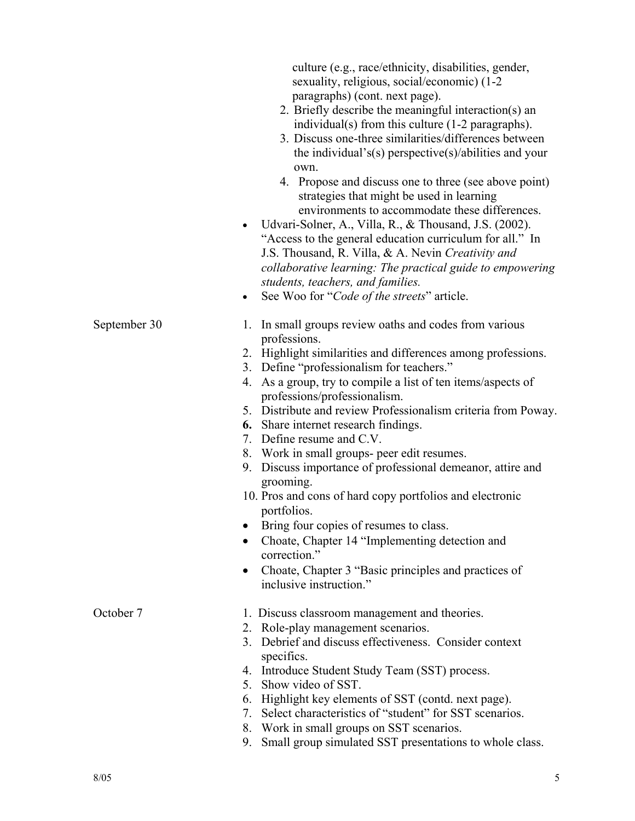|              | culture (e.g., race/ethnicity, disabilities, gender,<br>sexuality, religious, social/economic) (1-2<br>paragraphs) (cont. next page).<br>2. Briefly describe the meaningful interaction(s) an<br>individual(s) from this culture (1-2 paragraphs).<br>3. Discuss one-three similarities/differences between |
|--------------|-------------------------------------------------------------------------------------------------------------------------------------------------------------------------------------------------------------------------------------------------------------------------------------------------------------|
|              | the individual's(s) perspective(s)/abilities and your                                                                                                                                                                                                                                                       |
|              | own.<br>4. Propose and discuss one to three (see above point)<br>strategies that might be used in learning<br>environments to accommodate these differences.                                                                                                                                                |
|              | Udvari-Solner, A., Villa, R., & Thousand, J.S. (2002).<br>$\bullet$<br>"Access to the general education curriculum for all." In<br>J.S. Thousand, R. Villa, & A. Nevin Creativity and<br>collaborative learning: The practical guide to empowering                                                          |
|              | students, teachers, and families.                                                                                                                                                                                                                                                                           |
|              | See Woo for "Code of the streets" article.<br>$\bullet$                                                                                                                                                                                                                                                     |
| September 30 | In small groups review oaths and codes from various<br>1.<br>professions.                                                                                                                                                                                                                                   |
|              | 2. Highlight similarities and differences among professions.                                                                                                                                                                                                                                                |
|              | 3. Define "professionalism for teachers."                                                                                                                                                                                                                                                                   |
|              | 4. As a group, try to compile a list of ten items/aspects of<br>professions/professionalism.                                                                                                                                                                                                                |
|              | 5. Distribute and review Professionalism criteria from Poway.                                                                                                                                                                                                                                               |
|              | <b>6.</b> Share internet research findings.<br>7. Define resume and C.V.                                                                                                                                                                                                                                    |
|              | 8. Work in small groups- peer edit resumes.                                                                                                                                                                                                                                                                 |
|              | 9. Discuss importance of professional demeanor, attire and<br>grooming.                                                                                                                                                                                                                                     |
|              | 10. Pros and cons of hard copy portfolios and electronic<br>portfolios.                                                                                                                                                                                                                                     |
|              | Bring four copies of resumes to class.                                                                                                                                                                                                                                                                      |
|              | Choate, Chapter 14 "Implementing detection and<br>correction."                                                                                                                                                                                                                                              |
|              | Choate, Chapter 3 "Basic principles and practices of<br>inclusive instruction."                                                                                                                                                                                                                             |
| October 7    | 1. Discuss classroom management and theories.<br>2. Role-play management scenarios.                                                                                                                                                                                                                         |
|              | 3. Debrief and discuss effectiveness. Consider context<br>specifics.                                                                                                                                                                                                                                        |
|              | 4. Introduce Student Study Team (SST) process.                                                                                                                                                                                                                                                              |
|              | 5. Show video of SST.                                                                                                                                                                                                                                                                                       |
|              | 6. Highlight key elements of SST (contd. next page).<br>Select characteristics of "student" for SST scenarios.<br>7.                                                                                                                                                                                        |
|              | Work in small groups on SST scenarios.<br>8.<br>Small group simulated SST presentations to whole class.<br>9.                                                                                                                                                                                               |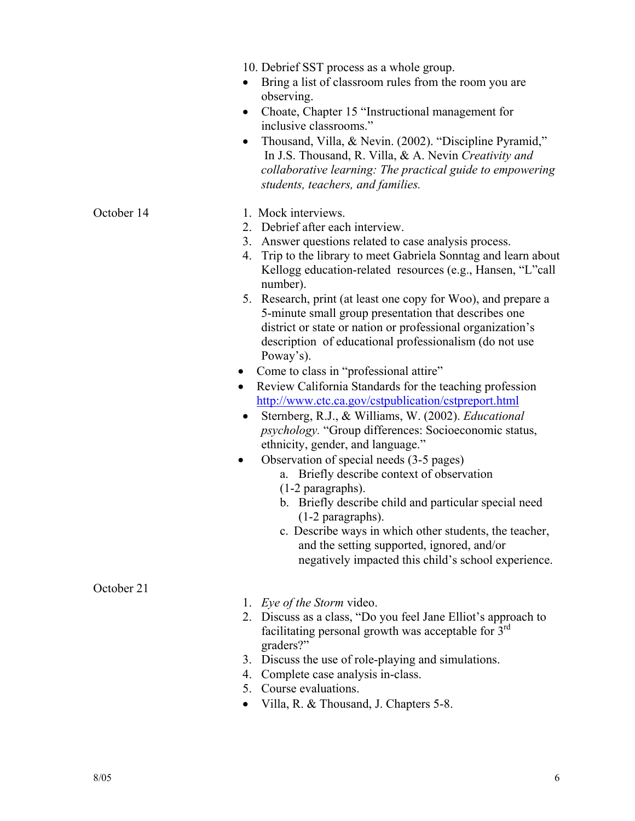|            | 10. Debrief SST process as a whole group.<br>Bring a list of classroom rules from the room you are<br>observing.<br>Choate, Chapter 15 "Instructional management for<br>$\bullet$<br>inclusive classrooms."<br>Thousand, Villa, & Nevin. (2002). "Discipline Pyramid,"<br>In J.S. Thousand, R. Villa, & A. Nevin Creativity and<br>collaborative learning: The practical guide to empowering<br>students, teachers, and families.                                                                                                                                                                                                                                                                                                                                                                                                                                                                                                                                                                                                                                                                                                                                                                                                                                           |
|------------|-----------------------------------------------------------------------------------------------------------------------------------------------------------------------------------------------------------------------------------------------------------------------------------------------------------------------------------------------------------------------------------------------------------------------------------------------------------------------------------------------------------------------------------------------------------------------------------------------------------------------------------------------------------------------------------------------------------------------------------------------------------------------------------------------------------------------------------------------------------------------------------------------------------------------------------------------------------------------------------------------------------------------------------------------------------------------------------------------------------------------------------------------------------------------------------------------------------------------------------------------------------------------------|
| October 14 | 1. Mock interviews.<br>2. Debrief after each interview.<br>3. Answer questions related to case analysis process.<br>Trip to the library to meet Gabriela Sonntag and learn about<br>4.<br>Kellogg education-related resources (e.g., Hansen, "L"call<br>number).<br>5. Research, print (at least one copy for Woo), and prepare a<br>5-minute small group presentation that describes one<br>district or state or nation or professional organization's<br>description of educational professionalism (do not use<br>Poway's).<br>Come to class in "professional attire"<br>$\bullet$<br>Review California Standards for the teaching profession<br>$\bullet$<br>http://www.ctc.ca.gov/cstpublication/cstpreport.html<br>Sternberg, R.J., & Williams, W. (2002). Educational<br>$\bullet$<br><i>psychology</i> . "Group differences: Socioeconomic status,<br>ethnicity, gender, and language."<br>Observation of special needs (3-5 pages)<br>$\bullet$<br>Briefly describe context of observation<br>a.<br>(1-2 paragraphs).<br>b. Briefly describe child and particular special need<br>(1-2 paragraphs).<br>c. Describe ways in which other students, the teacher,<br>and the setting supported, ignored, and/or<br>negatively impacted this child's school experience. |
| October 21 | 1. Eye of the Storm video.<br>2. Discuss as a class, "Do you feel Jane Elliot's approach to<br>facilitating personal growth was acceptable for 3 <sup>rd</sup><br>graders?"<br>Discuss the use of role-playing and simulations.<br>3.                                                                                                                                                                                                                                                                                                                                                                                                                                                                                                                                                                                                                                                                                                                                                                                                                                                                                                                                                                                                                                       |
|            | Complete case analysis in-class.<br>4.<br>Course evaluations.<br>5.                                                                                                                                                                                                                                                                                                                                                                                                                                                                                                                                                                                                                                                                                                                                                                                                                                                                                                                                                                                                                                                                                                                                                                                                         |

• Villa, R. & Thousand, J. Chapters 5-8.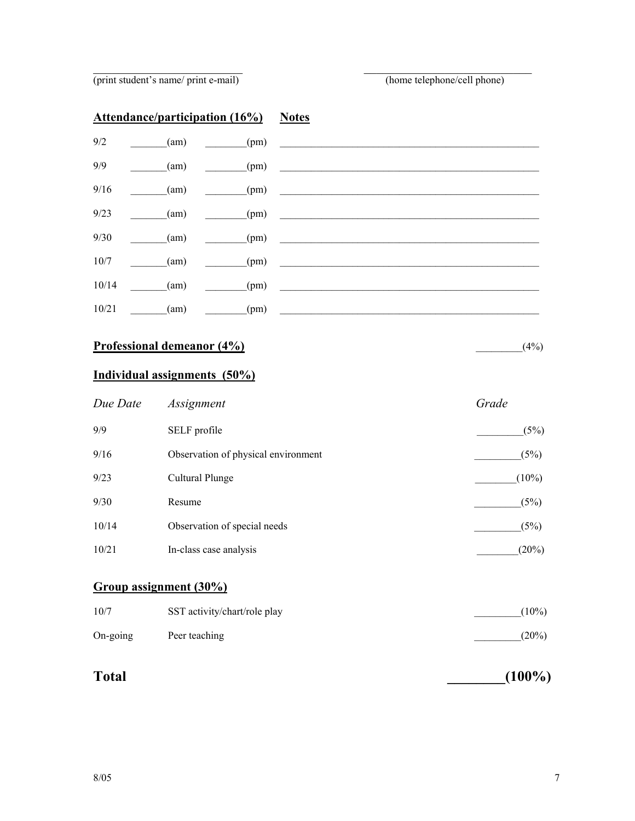(print student's name/ print e-mail) (home telephone/cell phone)

|       | <b>Attendance/participation (16%)</b> |      | <b>Notes</b>                                  |
|-------|---------------------------------------|------|-----------------------------------------------|
| 9/2   | (am)                                  | (pm) | <u> 1989 - Jan Barnett, politik e</u>         |
| 9/9   | (am)                                  | (pm) |                                               |
| 9/16  | (am)                                  | (pm) | <u> 1970 - Jan Barbarat, prima politik po</u> |
| 9/23  | (am)                                  | (pm) |                                               |
| 9/30  | (am)                                  | (pm) |                                               |
| 10/7  | (am)                                  | (pm) |                                               |
| 10/14 | (am)                                  | (pm) |                                               |
| 10/21 | (am)                                  | (pm) |                                               |
|       | Professional demeanor (4%)            |      | (4%)                                          |

 $\mathcal{L}_\text{max}$  , and the contract of the contract of the contract of the contract of the contract of the contract of

## **Individual assignments (50%)**

| Due Date | Assignment                          | Grade    |
|----------|-------------------------------------|----------|
| 9/9      | SELF profile                        | (5%)     |
| 9/16     | Observation of physical environment | (5%)     |
| 9/23     | Cultural Plunge                     | $(10\%)$ |
| 9/30     | Resume                              | (5%)     |
| 10/14    | Observation of special needs        | (5%)     |
| 10/21    | In-class case analysis              | (20%)    |

### **Group assignment (30%)**

| 10/7              | SST activity/chart/role play | $(10\%)$ |
|-------------------|------------------------------|----------|
| $On\text{-going}$ | Peer teaching                | $(20\%)$ |

# **Total** (100%)